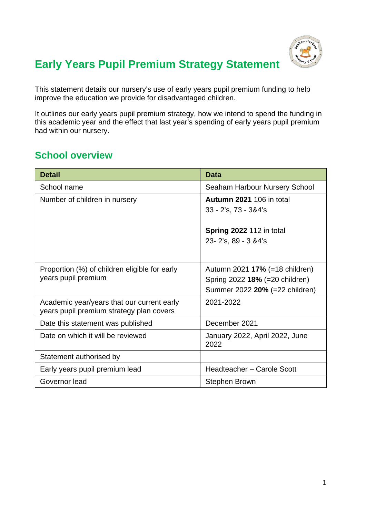

## **Early Years Pupil Premium Strategy Statement**

This statement details our nursery's use of early years pupil premium funding to help improve the education we provide for disadvantaged children.

It outlines our early years pupil premium strategy, how we intend to spend the funding in this academic year and the effect that last year's spending of early years pupil premium had within our nursery.

### **School overview**

| <b>Detail</b>                                 | <b>Data</b>                            |  |
|-----------------------------------------------|----------------------------------------|--|
| School name                                   | Seaham Harbour Nursery School          |  |
| Number of children in nursery                 | <b>Autumn 2021 106 in total</b>        |  |
|                                               | 33 - 2's, 73 - 3&4's                   |  |
|                                               |                                        |  |
|                                               | <b>Spring 2022 112 in total</b>        |  |
|                                               | 23-2's, 89 - 3 & 4's                   |  |
|                                               |                                        |  |
| Proportion (%) of children eligible for early | Autumn 2021 17% (=18 children)         |  |
| years pupil premium                           | Spring 2022 18% (=20 children)         |  |
|                                               | Summer 2022 20% (=22 children)         |  |
| Academic year/years that our current early    | 2021-2022                              |  |
| years pupil premium strategy plan covers      |                                        |  |
| Date this statement was published             | December 2021                          |  |
| Date on which it will be reviewed             | January 2022, April 2022, June<br>2022 |  |
| Statement authorised by                       |                                        |  |
| Early years pupil premium lead                | Headteacher - Carole Scott             |  |
| Governor lead                                 | <b>Stephen Brown</b>                   |  |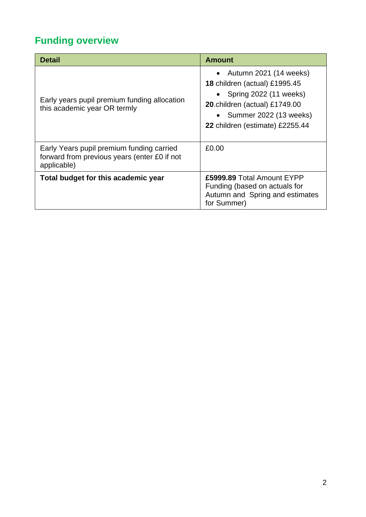# **Funding overview**

| <b>Detail</b>                                                                                            | <b>Amount</b>                                                                                                                                                                                                    |
|----------------------------------------------------------------------------------------------------------|------------------------------------------------------------------------------------------------------------------------------------------------------------------------------------------------------------------|
| Early years pupil premium funding allocation<br>this academic year OR termly                             | Autumn 2021 (14 weeks)<br>$\bullet$<br><b>18 children (actual) £1995.45</b><br>• Spring $2022(11 \text{ weeks})$<br>20.children (actual) £1749.00<br>• Summer 2022 (13 weeks)<br>22 children (estimate) £2255.44 |
| Early Years pupil premium funding carried<br>forward from previous years (enter £0 if not<br>applicable) | £0.00                                                                                                                                                                                                            |
| Total budget for this academic year                                                                      | £5999.89 Total Amount EYPP<br>Funding (based on actuals for<br>Autumn and Spring and estimates<br>for Summer)                                                                                                    |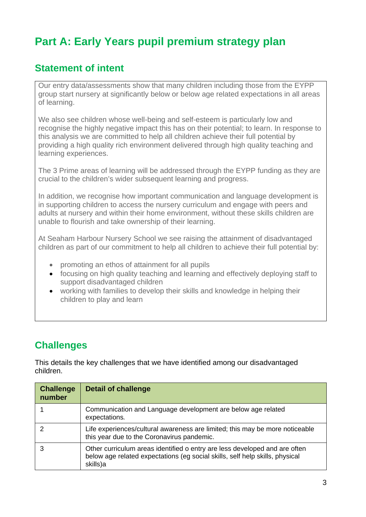## **Part A: Early Years pupil premium strategy plan**

### **Statement of intent**

Our entry data/assessments show that many children including those from the EYPP group start nursery at significantly below or below age related expectations in all areas of learning.

We also see children whose well-being and self-esteem is particularly low and recognise the highly negative impact this has on their potential; to learn. In response to this analysis we are committed to help all children achieve their full potential by providing a high quality rich environment delivered through high quality teaching and learning experiences.

The 3 Prime areas of learning will be addressed through the EYPP funding as they are crucial to the children's wider subsequent learning and progress.

In addition, we recognise how important communication and language development is in supporting children to access the nursery curriculum and engage with peers and adults at nursery and within their home environment, without these skills children are unable to flourish and take ownership of their learning.

At Seaham Harbour Nursery School we see raising the attainment of disadvantaged children as part of our commitment to help all children to achieve their full potential by:

- promoting an ethos of attainment for all pupils
- focusing on high quality teaching and learning and effectively deploying staff to support disadvantaged children
- working with families to develop their skills and knowledge in helping their children to play and learn

## **Challenges**

This details the key challenges that we have identified among our disadvantaged children.

| <b>Challenge</b><br>number | <b>Detail of challenge</b>                                                                                                                                             |
|----------------------------|------------------------------------------------------------------------------------------------------------------------------------------------------------------------|
|                            | Communication and Language development are below age related<br>expectations.                                                                                          |
|                            | Life experiences/cultural awareness are limited; this may be more noticeable<br>this year due to the Coronavirus pandemic.                                             |
|                            | Other curriculum areas identified o entry are less developed and are often<br>below age related expectations (eg social skills, self help skills, physical<br>skills)a |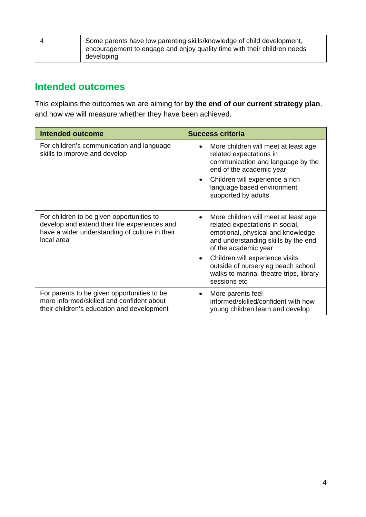| Some parents have low parenting skills/knowledge of child development,<br>encouragement to engage and enjoy quality time with their children needs |
|----------------------------------------------------------------------------------------------------------------------------------------------------|
| developing                                                                                                                                         |

### **Intended outcomes**

This explains the outcomes we are aiming for **by the end of our current strategy plan**, and how we will measure whether they have been achieved.

| <b>Intended outcome</b>                                                                                                                                    | <b>Success criteria</b>                                                                                                                                                                                                                                                                                                                    |  |
|------------------------------------------------------------------------------------------------------------------------------------------------------------|--------------------------------------------------------------------------------------------------------------------------------------------------------------------------------------------------------------------------------------------------------------------------------------------------------------------------------------------|--|
| For children's communication and language<br>skills to improve and develop                                                                                 | More children will meet at least age<br>$\bullet$<br>related expectations in<br>communication and language by the<br>end of the academic year<br>Children will experience a rich<br>$\bullet$<br>language based environment<br>supported by adults                                                                                         |  |
| For children to be given opportunities to<br>develop and extend their life experiences and<br>have a wider understanding of culture in their<br>local area | More children will meet at least age<br>$\bullet$<br>related expectations in social,<br>emotional, physical and knowledge<br>and understanding skills by the end<br>of the academic year<br>Children will experience visits<br>$\bullet$<br>outside of nursery eg beach school,<br>walks to marina, theatre trips, library<br>sessions etc |  |
| For parents to be given opportunities to be<br>more informed/skilled and confident about<br>their children's education and development                     | More parents feel<br>$\bullet$<br>informed/skilled/confident with how<br>young children learn and develop                                                                                                                                                                                                                                  |  |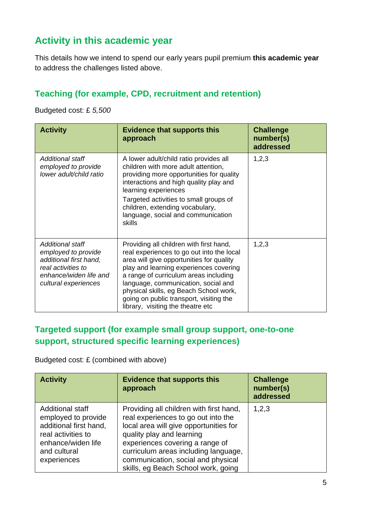### **Activity in this academic year**

This details how we intend to spend our early years pupil premium **this academic year** to address the challenges listed above.

#### **Teaching (for example, CPD, recruitment and retention)**

Budgeted cost: £ *5,500*

| <b>Activity</b>                                                                                                                           | <b>Evidence that supports this</b><br>approach                                                                                                                                                                                                                                                                                                                                       | <b>Challenge</b><br>number(s)<br>addressed |
|-------------------------------------------------------------------------------------------------------------------------------------------|--------------------------------------------------------------------------------------------------------------------------------------------------------------------------------------------------------------------------------------------------------------------------------------------------------------------------------------------------------------------------------------|--------------------------------------------|
| Additional staff<br>employed to provide<br>lower adult/child ratio                                                                        | A lower adult/child ratio provides all<br>children with more adult attention,<br>providing more opportunities for quality<br>interactions and high quality play and<br>learning experiences<br>Targeted activities to small groups of<br>children, extending vocabulary,<br>language, social and communication<br>skills                                                             | 1,2,3                                      |
| Additional staff<br>employed to provide<br>additional first hand,<br>real activities to<br>enhance/widen life and<br>cultural experiences | Providing all children with first hand,<br>real experiences to go out into the local<br>area will give opportunities for quality<br>play and learning experiences covering<br>a range of curriculum areas including<br>language, communication, social and<br>physical skills, eg Beach School work,<br>going on public transport, visiting the<br>library, visiting the theatre etc | 1, 2, 3                                    |

#### **Targeted support (for example small group support, one-to-one support, structured specific learning experiences)**

Budgeted cost: £ (combined with above)

| <b>Activity</b>                                                                                                                                     | <b>Evidence that supports this</b><br>approach                                                                                                                                                                                                                                                                | <b>Challenge</b><br>number(s)<br>addressed |
|-----------------------------------------------------------------------------------------------------------------------------------------------------|---------------------------------------------------------------------------------------------------------------------------------------------------------------------------------------------------------------------------------------------------------------------------------------------------------------|--------------------------------------------|
| <b>Additional staff</b><br>employed to provide<br>additional first hand,<br>real activities to<br>enhance/widen life<br>and cultural<br>experiences | Providing all children with first hand,<br>real experiences to go out into the<br>local area will give opportunities for<br>quality play and learning<br>experiences covering a range of<br>curriculum areas including language,<br>communication, social and physical<br>skills, eg Beach School work, going | 1,2,3                                      |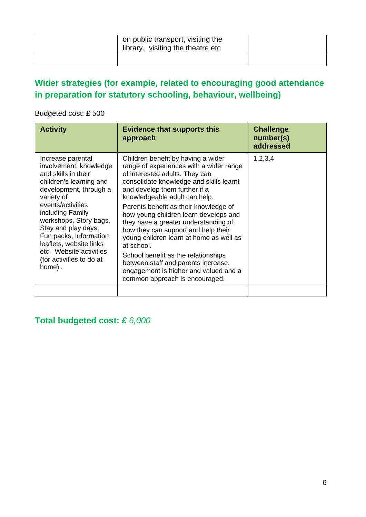| on public transport, visiting the<br>library, visiting the theatre etc |  |
|------------------------------------------------------------------------|--|
|                                                                        |  |

#### **Wider strategies (for example, related to encouraging good attendance in preparation for statutory schooling, behaviour, wellbeing)**

Budgeted cost: £ 500

| <b>Activity</b>                                                                                                                                                                                                                                                                                                                                       | <b>Evidence that supports this</b><br>approach                                                                                                                                                                                                                                                                                                                                                                                                                                                                                                                                                                  | <b>Challenge</b><br>number(s)<br>addressed |
|-------------------------------------------------------------------------------------------------------------------------------------------------------------------------------------------------------------------------------------------------------------------------------------------------------------------------------------------------------|-----------------------------------------------------------------------------------------------------------------------------------------------------------------------------------------------------------------------------------------------------------------------------------------------------------------------------------------------------------------------------------------------------------------------------------------------------------------------------------------------------------------------------------------------------------------------------------------------------------------|--------------------------------------------|
| Increase parental<br>involvement, knowledge<br>and skills in their<br>children's learning and<br>development, through a<br>variety of<br>events/activities<br>including Family<br>workshops, Story bags,<br>Stay and play days,<br>Fun packs, Information<br>leaflets, website links<br>etc. Website activities<br>(for activities to do at<br>home). | Children benefit by having a wider<br>range of experiences with a wider range<br>of interested adults. They can<br>consolidate knowledge and skills learnt<br>and develop them further if a<br>knowledgeable adult can help.<br>Parents benefit as their knowledge of<br>how young children learn develops and<br>they have a greater understanding of<br>how they can support and help their<br>young children learn at home as well as<br>at school.<br>School benefit as the relationships<br>between staff and parents increase,<br>engagement is higher and valued and a<br>common approach is encouraged. | 1,2,3,4                                    |
|                                                                                                                                                                                                                                                                                                                                                       |                                                                                                                                                                                                                                                                                                                                                                                                                                                                                                                                                                                                                 |                                            |

#### **Total budgeted cost:** *£ 6,000*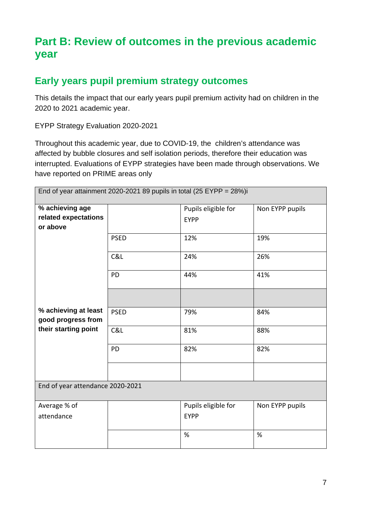## **Part B: Review of outcomes in the previous academic year**

#### **Early years pupil premium strategy outcomes**

This details the impact that our early years pupil premium activity had on children in the 2020 to 2021 academic year.

EYPP Strategy Evaluation 2020-2021

Throughout this academic year, due to COVID-19, the children's attendance was affected by bubble closures and self isolation periods, therefore their education was interrupted. Evaluations of EYPP strategies have been made through observations. We have reported on PRIME areas only

| End of year attainment 2020-2021 89 pupils in total (25 EYPP = $28\%$ )i |             |                                    |                 |  |
|--------------------------------------------------------------------------|-------------|------------------------------------|-----------------|--|
| % achieving age<br>related expectations<br>or above                      |             | Pupils eligible for<br><b>EYPP</b> | Non EYPP pupils |  |
|                                                                          | <b>PSED</b> | 12%                                | 19%             |  |
|                                                                          | C&L         | 24%                                | 26%             |  |
|                                                                          | <b>PD</b>   | 44%                                | 41%             |  |
|                                                                          |             |                                    |                 |  |
| % achieving at least<br>good progress from                               | <b>PSED</b> | 79%                                | 84%             |  |
| their starting point                                                     | C&L         | 81%                                | 88%             |  |
|                                                                          | <b>PD</b>   | 82%                                | 82%             |  |
|                                                                          |             |                                    |                 |  |
| End of year attendance 2020-2021                                         |             |                                    |                 |  |
| Average % of<br>attendance                                               |             | Pupils eligible for<br><b>EYPP</b> | Non EYPP pupils |  |
|                                                                          |             | %                                  | %               |  |